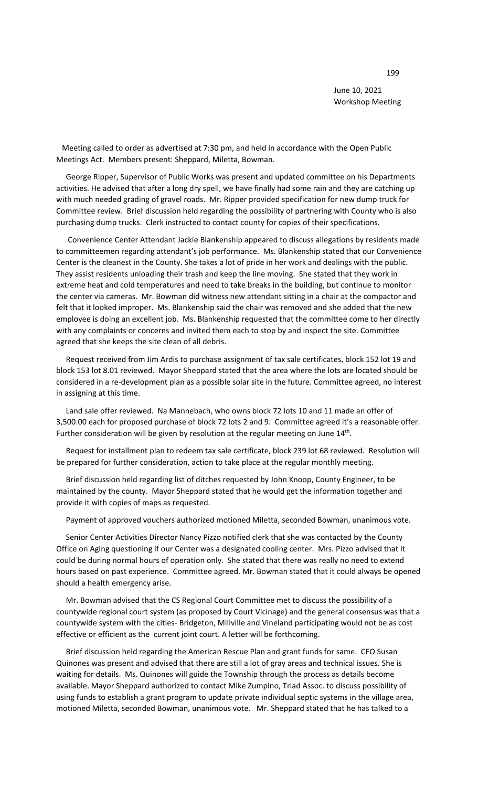June 10, 2021 Workshop Meeting

 Meeting called to order as advertised at 7:30 pm, and held in accordance with the Open Public Meetings Act. Members present: Sheppard, Miletta, Bowman.

 George Ripper, Supervisor of Public Works was present and updated committee on his Departments activities. He advised that after a long dry spell, we have finally had some rain and they are catching up with much needed grading of gravel roads. Mr. Ripper provided specification for new dump truck for Committee review. Brief discussion held regarding the possibility of partnering with County who is also purchasing dump trucks. Clerk instructed to contact county for copies of their specifications.

 Convenience Center Attendant Jackie Blankenship appeared to discuss allegations by residents made to committeemen regarding attendant's job performance. Ms. Blankenship stated that our Convenience Center is the cleanest in the County. She takes a lot of pride in her work and dealings with the public. They assist residents unloading their trash and keep the line moving. She stated that they work in extreme heat and cold temperatures and need to take breaks in the building, but continue to monitor the center via cameras. Mr. Bowman did witness new attendant sitting in a chair at the compactor and felt that it looked improper. Ms. Blankenship said the chair was removed and she added that the new employee is doing an excellent job. Ms. Blankenship requested that the committee come to her directly with any complaints or concerns and invited them each to stop by and inspect the site. Committee agreed that she keeps the site clean of all debris.

 Request received from Jim Ardis to purchase assignment of tax sale certificates, block 152 lot 19 and block 153 lot 8.01 reviewed. Mayor Sheppard stated that the area where the lots are located should be considered in a re-development plan as a possible solar site in the future. Committee agreed, no interest in assigning at this time.

 Land sale offer reviewed. Na Mannebach, who owns block 72 lots 10 and 11 made an offer of 3,500.00 each for proposed purchase of block 72 lots 2 and 9. Committee agreed it's a reasonable offer. Further consideration will be given by resolution at the regular meeting on June 14<sup>th</sup>.

 Request for installment plan to redeem tax sale certificate, block 239 lot 68 reviewed. Resolution will be prepared for further consideration, action to take place at the regular monthly meeting.

 Brief discussion held regarding list of ditches requested by John Knoop, County Engineer, to be maintained by the county. Mayor Sheppard stated that he would get the information together and provide it with copies of maps as requested.

Payment of approved vouchers authorized motioned Miletta, seconded Bowman, unanimous vote.

 Senior Center Activities Director Nancy Pizzo notified clerk that she was contacted by the County Office on Aging questioning if our Center was a designated cooling center. Mrs. Pizzo advised that it could be during normal hours of operation only. She stated that there was really no need to extend hours based on past experience. Committee agreed. Mr. Bowman stated that it could always be opened should a health emergency arise.

 Mr. Bowman advised that the CS Regional Court Committee met to discuss the possibility of a countywide regional court system (as proposed by Court Vicinage) and the general consensus was that a countywide system with the cities- Bridgeton, Millville and Vineland participating would not be as cost effective or efficient as the current joint court. A letter will be forthcoming.

 Brief discussion held regarding the American Rescue Plan and grant funds for same. CFO Susan Quinones was present and advised that there are still a lot of gray areas and technical issues. She is waiting for details. Ms. Quinones will guide the Township through the process as details become available. Mayor Sheppard authorized to contact Mike Zumpino, Triad Assoc. to discuss possibility of using funds to establish a grant program to update private individual septic systems in the village area, motioned Miletta, seconded Bowman, unanimous vote. Mr. Sheppard stated that he has talked to a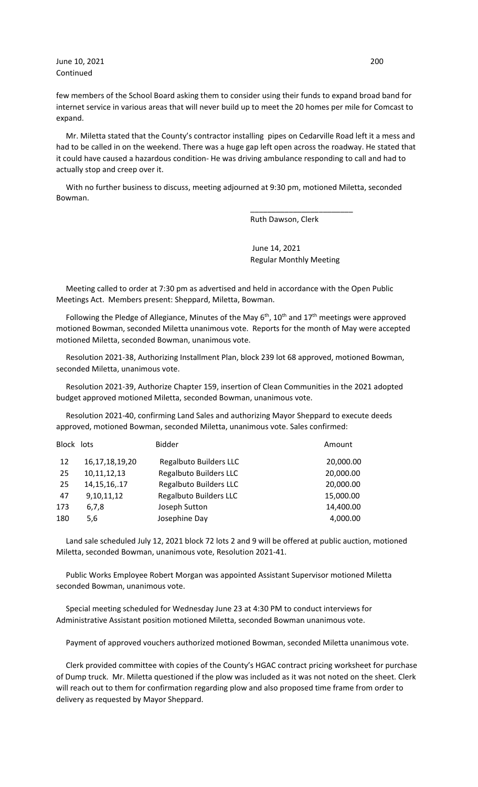June 10, 2021 200 Continued

few members of the School Board asking them to consider using their funds to expand broad band for internet service in various areas that will never build up to meet the 20 homes per mile for Comcast to expand.

 Mr. Miletta stated that the County's contractor installing pipes on Cedarville Road left it a mess and had to be called in on the weekend. There was a huge gap left open across the roadway. He stated that it could have caused a hazardous condition- He was driving ambulance responding to call and had to actually stop and creep over it.

 With no further business to discuss, meeting adjourned at 9:30 pm, motioned Miletta, seconded Bowman.

 $\overline{\phantom{a}}$  , and the contract of the contract of the contract of the contract of the contract of the contract of the contract of the contract of the contract of the contract of the contract of the contract of the contrac

Ruth Dawson, Clerk

 June 14, 2021 Regular Monthly Meeting

 Meeting called to order at 7:30 pm as advertised and held in accordance with the Open Public Meetings Act. Members present: Sheppard, Miletta, Bowman.

Following the Pledge of Allegiance, Minutes of the May  $6<sup>th</sup>$ , 10<sup>th</sup> and 17<sup>th</sup> meetings were approved motioned Bowman, seconded Miletta unanimous vote. Reports for the month of May were accepted motioned Miletta, seconded Bowman, unanimous vote.

 Resolution 2021-38, Authorizing Installment Plan, block 239 lot 68 approved, motioned Bowman, seconded Miletta, unanimous vote.

 Resolution 2021-39, Authorize Chapter 159, insertion of Clean Communities in the 2021 adopted budget approved motioned Miletta, seconded Bowman, unanimous vote.

 Resolution 2021-40, confirming Land Sales and authorizing Mayor Sheppard to execute deeds approved, motioned Bowman, seconded Miletta, unanimous vote. Sales confirmed:

| Block lots |                    | <b>Bidder</b>                 | Amount    |
|------------|--------------------|-------------------------------|-----------|
| 12         | 16, 17, 18, 19, 20 | <b>Regalbuto Builders LLC</b> | 20,000.00 |
| 25         | 10,11,12,13        | <b>Regalbuto Builders LLC</b> | 20,000.00 |
| 25         | 14, 15, 16, . 17   | <b>Regalbuto Builders LLC</b> | 20,000.00 |
| 47         | 9,10,11,12         | <b>Regalbuto Builders LLC</b> | 15,000.00 |
| 173        | 6,7,8              | Joseph Sutton                 | 14,400.00 |
| 180        | 5,6                | Josephine Day                 | 4,000.00  |
|            |                    |                               |           |

 Land sale scheduled July 12, 2021 block 72 lots 2 and 9 will be offered at public auction, motioned Miletta, seconded Bowman, unanimous vote, Resolution 2021-41.

 Public Works Employee Robert Morgan was appointed Assistant Supervisor motioned Miletta seconded Bowman, unanimous vote.

 Special meeting scheduled for Wednesday June 23 at 4:30 PM to conduct interviews for Administrative Assistant position motioned Miletta, seconded Bowman unanimous vote.

Payment of approved vouchers authorized motioned Bowman, seconded Miletta unanimous vote.

 Clerk provided committee with copies of the County's HGAC contract pricing worksheet for purchase of Dump truck. Mr. Miletta questioned if the plow was included as it was not noted on the sheet. Clerk will reach out to them for confirmation regarding plow and also proposed time frame from order to delivery as requested by Mayor Sheppard.